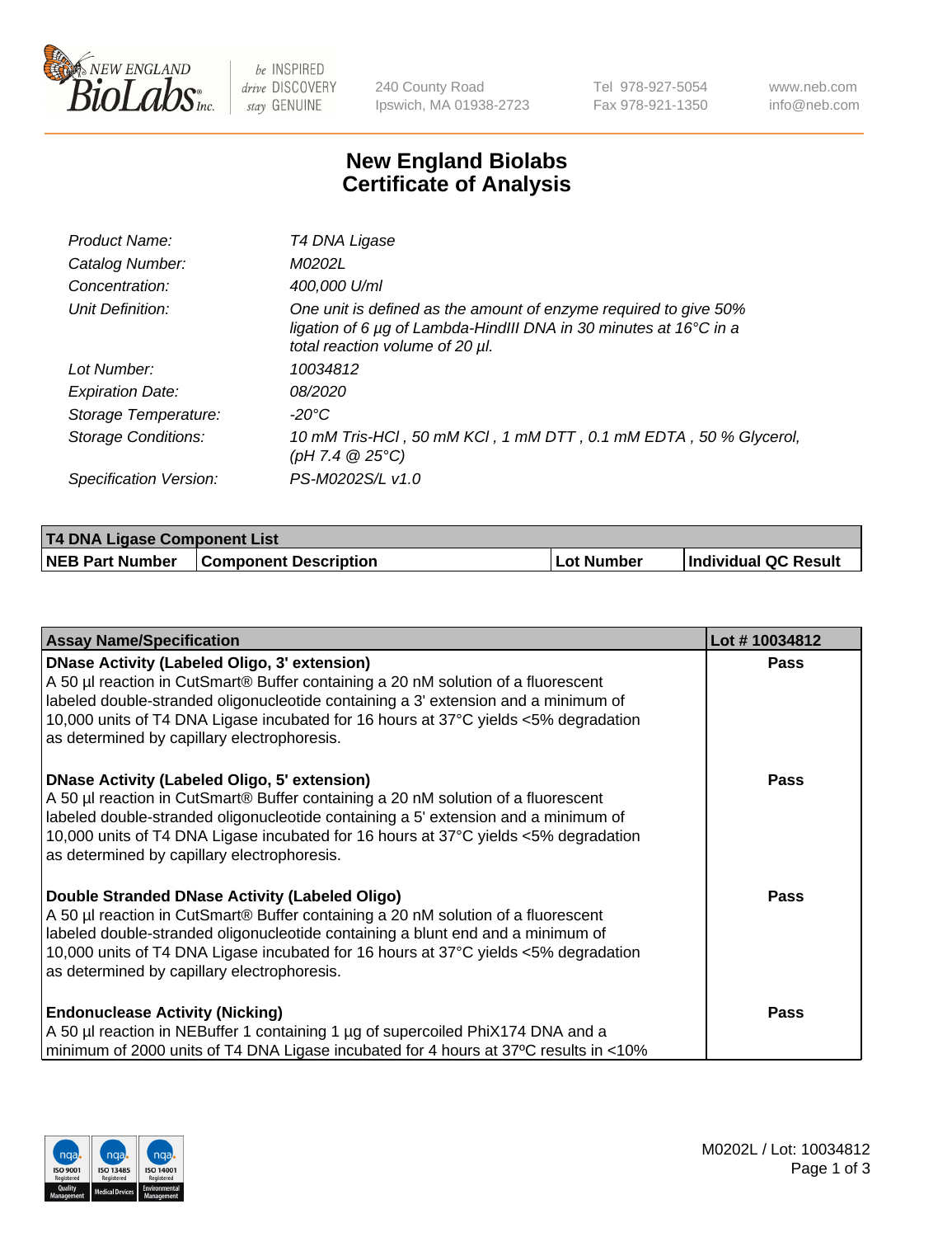

 $be$  INSPIRED drive DISCOVERY stay GENUINE

240 County Road Ipswich, MA 01938-2723 Tel 978-927-5054 Fax 978-921-1350 www.neb.com info@neb.com

## **New England Biolabs Certificate of Analysis**

| Product Name:              | T4 DNA Ligase                                                                                                                                                                           |
|----------------------------|-----------------------------------------------------------------------------------------------------------------------------------------------------------------------------------------|
| Catalog Number:            | M0202L                                                                                                                                                                                  |
| Concentration:             | 400,000 U/ml                                                                                                                                                                            |
| Unit Definition:           | One unit is defined as the amount of enzyme required to give 50%<br>ligation of 6 $\mu$ g of Lambda-HindIII DNA in 30 minutes at 16 $\degree$ C in a<br>total reaction volume of 20 µl. |
| Lot Number:                | 10034812                                                                                                                                                                                |
| <b>Expiration Date:</b>    | <i>08/2020</i>                                                                                                                                                                          |
| Storage Temperature:       | -20°C                                                                                                                                                                                   |
| <b>Storage Conditions:</b> | 10 mM Tris-HCI, 50 mM KCI, 1 mM DTT, 0.1 mM EDTA, 50 % Glycerol,<br>(pH 7.4 $@25°C$ )                                                                                                   |
| Specification Version:     | PS-M0202S/L v1.0                                                                                                                                                                        |

| <b>T4 DNA Ligase Component List</b> |                              |            |                      |  |
|-------------------------------------|------------------------------|------------|----------------------|--|
| <b>NEB Part Number</b>              | <b>Component Description</b> | Lot Number | Individual QC Result |  |

| <b>Assay Name/Specification</b>                                                                                                                                                                                                                                                                                                                               | Lot #10034812 |
|---------------------------------------------------------------------------------------------------------------------------------------------------------------------------------------------------------------------------------------------------------------------------------------------------------------------------------------------------------------|---------------|
| DNase Activity (Labeled Oligo, 3' extension)<br>A 50 µl reaction in CutSmart® Buffer containing a 20 nM solution of a fluorescent<br>labeled double-stranded oligonucleotide containing a 3' extension and a minimum of<br>10,000 units of T4 DNA Ligase incubated for 16 hours at 37°C yields <5% degradation<br>as determined by capillary electrophoresis. | <b>Pass</b>   |
| DNase Activity (Labeled Oligo, 5' extension)<br>A 50 µl reaction in CutSmart® Buffer containing a 20 nM solution of a fluorescent<br>labeled double-stranded oligonucleotide containing a 5' extension and a minimum of<br>10,000 units of T4 DNA Ligase incubated for 16 hours at 37°C yields <5% degradation<br>as determined by capillary electrophoresis. | Pass          |
| Double Stranded DNase Activity (Labeled Oligo)<br>A 50 µl reaction in CutSmart® Buffer containing a 20 nM solution of a fluorescent<br>labeled double-stranded oligonucleotide containing a blunt end and a minimum of<br>10,000 units of T4 DNA Ligase incubated for 16 hours at 37°C yields <5% degradation<br>as determined by capillary electrophoresis.  | <b>Pass</b>   |
| <b>Endonuclease Activity (Nicking)</b><br>A 50 µl reaction in NEBuffer 1 containing 1 µg of supercoiled PhiX174 DNA and a<br>minimum of 2000 units of T4 DNA Ligase incubated for 4 hours at 37°C results in <10%                                                                                                                                             | <b>Pass</b>   |

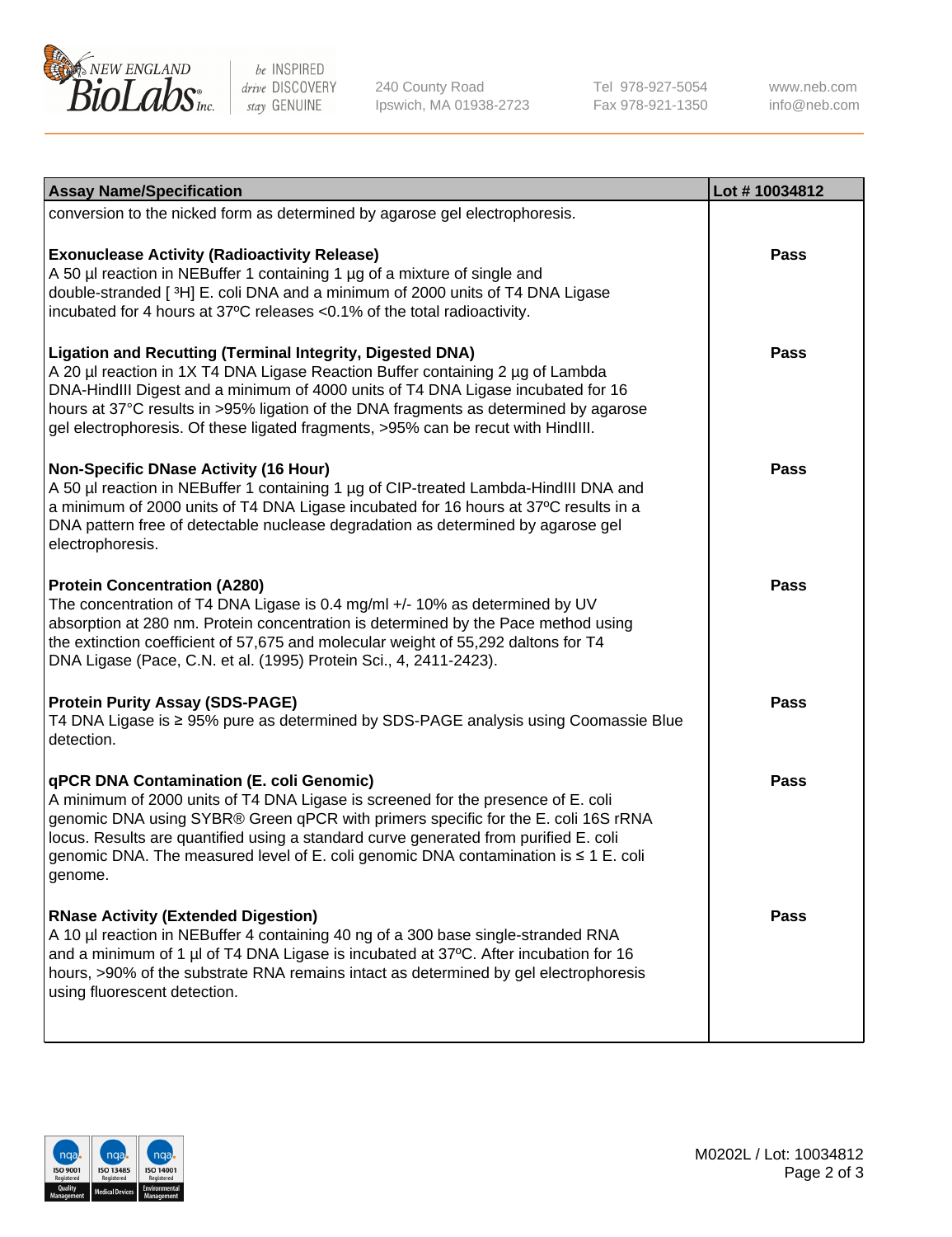

be INSPIRED drive DISCOVERY stay GENUINE

240 County Road Ipswich, MA 01938-2723 Tel 978-927-5054 Fax 978-921-1350

www.neb.com info@neb.com

| <b>Assay Name/Specification</b>                                                                                                                                                                                                                                                                                                                                                                                    | Lot #10034812 |
|--------------------------------------------------------------------------------------------------------------------------------------------------------------------------------------------------------------------------------------------------------------------------------------------------------------------------------------------------------------------------------------------------------------------|---------------|
| conversion to the nicked form as determined by agarose gel electrophoresis.                                                                                                                                                                                                                                                                                                                                        |               |
| <b>Exonuclease Activity (Radioactivity Release)</b><br>A 50 µl reaction in NEBuffer 1 containing 1 µg of a mixture of single and<br>double-stranded [3H] E. coli DNA and a minimum of 2000 units of T4 DNA Ligase<br>incubated for 4 hours at 37°C releases <0.1% of the total radioactivity.                                                                                                                      | <b>Pass</b>   |
| <b>Ligation and Recutting (Terminal Integrity, Digested DNA)</b><br>A 20 µl reaction in 1X T4 DNA Ligase Reaction Buffer containing 2 µg of Lambda<br>DNA-HindIII Digest and a minimum of 4000 units of T4 DNA Ligase incubated for 16<br>hours at 37°C results in >95% ligation of the DNA fragments as determined by agarose<br>gel electrophoresis. Of these ligated fragments, >95% can be recut with HindIII. | Pass          |
| <b>Non-Specific DNase Activity (16 Hour)</b><br>A 50 µl reaction in NEBuffer 1 containing 1 µg of CIP-treated Lambda-HindIII DNA and<br>a minimum of 2000 units of T4 DNA Ligase incubated for 16 hours at 37°C results in a<br>DNA pattern free of detectable nuclease degradation as determined by agarose gel<br>electrophoresis.                                                                               | <b>Pass</b>   |
| <b>Protein Concentration (A280)</b><br>The concentration of T4 DNA Ligase is 0.4 mg/ml +/- 10% as determined by UV<br>absorption at 280 nm. Protein concentration is determined by the Pace method using<br>the extinction coefficient of 57,675 and molecular weight of 55,292 daltons for T4<br>DNA Ligase (Pace, C.N. et al. (1995) Protein Sci., 4, 2411-2423).                                                | <b>Pass</b>   |
| <b>Protein Purity Assay (SDS-PAGE)</b><br>T4 DNA Ligase is ≥ 95% pure as determined by SDS-PAGE analysis using Coomassie Blue<br>detection.                                                                                                                                                                                                                                                                        | <b>Pass</b>   |
| qPCR DNA Contamination (E. coli Genomic)<br>A minimum of 2000 units of T4 DNA Ligase is screened for the presence of E. coli<br>genomic DNA using SYBR® Green qPCR with primers specific for the E. coli 16S rRNA<br>locus. Results are quantified using a standard curve generated from purified E. coli<br>genomic DNA. The measured level of E. coli genomic DNA contamination is ≤ 1 E. coli<br>genome.        | <b>Pass</b>   |
| <b>RNase Activity (Extended Digestion)</b><br>A 10 µl reaction in NEBuffer 4 containing 40 ng of a 300 base single-stranded RNA<br>and a minimum of 1 µl of T4 DNA Ligase is incubated at 37°C. After incubation for 16<br>hours, >90% of the substrate RNA remains intact as determined by gel electrophoresis<br>using fluorescent detection.                                                                    | <b>Pass</b>   |